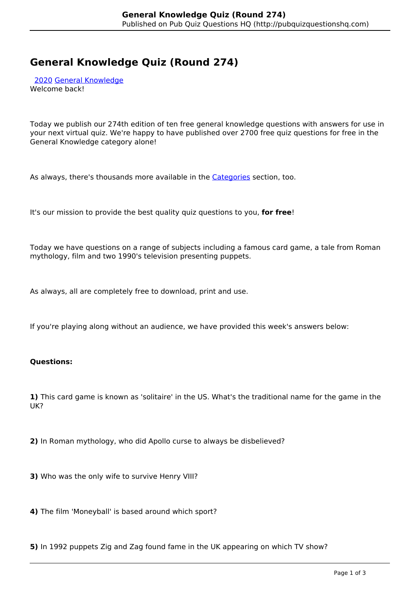# **General Knowledge Quiz (Round 274)**

 [2020](http://pubquizquestionshq.com/categories/2020) [General Knowledge](http://pubquizquestionshq.com/categories/general-knowledge) Welcome back!

Today we publish our 274th edition of ten free general knowledge questions with answers for use in your next virtual quiz. We're happy to have published over 2700 free quiz questions for free in the General Knowledge category alone!

As always, there's thousands more available in the **Categories** section, too.

It's our mission to provide the best quality quiz questions to you, **for free**!

Today we have questions on a range of subjects including a famous card game, a tale from Roman mythology, film and two 1990's television presenting puppets.

As always, all are completely free to download, print and use.

If you're playing along without an audience, we have provided this week's answers below:

## **Questions:**

**1)** This card game is known as 'solitaire' in the US. What's the traditional name for the game in the UK?

**2)** In Roman mythology, who did Apollo curse to always be disbelieved?

**3)** Who was the only wife to survive Henry VIII?

**4)** The film 'Moneyball' is based around which sport?

**5)** In 1992 puppets Zig and Zag found fame in the UK appearing on which TV show?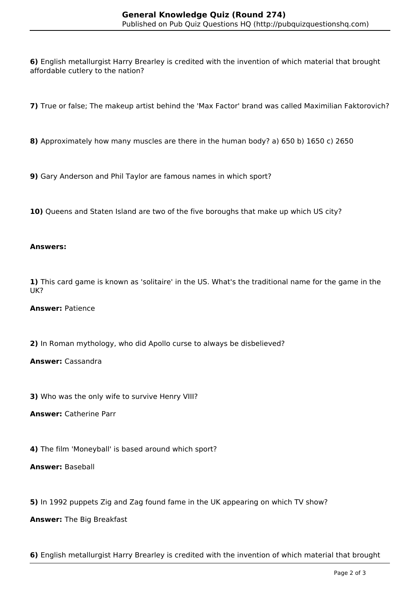**6)** English metallurgist Harry Brearley is credited with the invention of which material that brought affordable cutlery to the nation?

**7)** True or false; The makeup artist behind the 'Max Factor' brand was called Maximilian Faktorovich?

**8)** Approximately how many muscles are there in the human body? a) 650 b) 1650 c) 2650

**9)** Gary Anderson and Phil Taylor are famous names in which sport?

10) Queens and Staten Island are two of the five boroughs that make up which US city?

## **Answers:**

**1)** This card game is known as 'solitaire' in the US. What's the traditional name for the game in the UK?

# **Answer:** Patience

**2)** In Roman mythology, who did Apollo curse to always be disbelieved?

## **Answer:** Cassandra

**3)** Who was the only wife to survive Henry VIII?

**Answer:** Catherine Parr

**4)** The film 'Moneyball' is based around which sport?

# **Answer:** Baseball

**5)** In 1992 puppets Zig and Zag found fame in the UK appearing on which TV show?

**Answer:** The Big Breakfast

**6)** English metallurgist Harry Brearley is credited with the invention of which material that brought